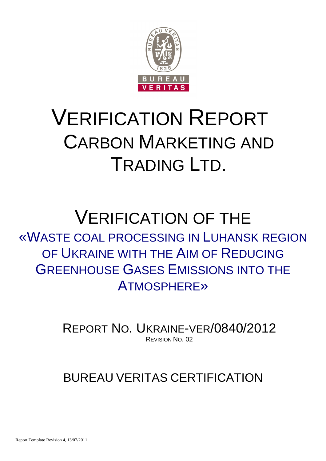

# VERIFICATION REPORT CARBON MARKETING AND TRADING LTD.

# VERIFICATION OF THE «WASTE COAL PROCESSING IN LUHANSK REGION OF UKRAINE WITH THE AIM OF REDUCING GREENHOUSE GASES EMISSIONS INTO THE ATMOSPHERE»

REPORT NO. UKRAINE-VER/0840/2012 REVISION NO. 02

# BUREAU VERITAS CERTIFICATION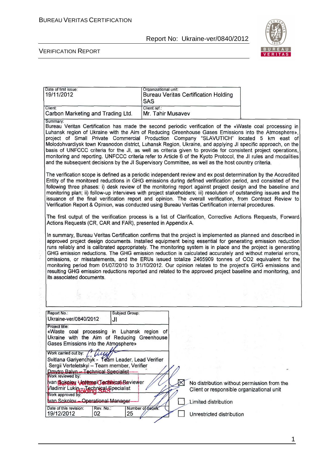

#### VERIFICATION REPORT

| Date of first issue:<br>19/11/2012 | Organizational unit:<br>Bureau Veritas Certification Holding<br><b>SAS</b> |
|------------------------------------|----------------------------------------------------------------------------|
| Client:                            | Client ref.:                                                               |
| Carbon Marketing and Trading Ltd.  | Mr. Tahir Musavev                                                          |

Bureau Veritas Certification has made the second periodic verification of the «Waste coal processing in Luhansk region of Ukraine with the Aim of Reducing Greenhouse Gases Emissions into the Atmosphere». project of Small Private Commercial Production Company "SLAVUTICH" located 5 km east of<br>Molodohvardiysk town Krasnodon district, Luhansk Region, Ukraine, and applying JI specific approach, on the basis of UNFCCC criteria for the JI, as well as criteria given to provide for consistent project operations, monitoring and reporting. UNFCCC criteria refer to Article 6 of the Kyoto Protocol, the JI rules and modalities and the subsequent decisions by the JI Supervisory Committee, as well as the host country criteria.

The verification scope is defined as a periodic independent review and ex post determination by the Accredited Entity of the monitored reductions in GHG emissions during defined verification period, and consisted of the following three phases: i) desk review of the monitoring report against project design and the baseline and monitoring plan; ii) follow-up interviews with project stakeholders; iii) resolution of outstanding issues and the issuance of the final verification report and opinion. The overall verification, from Contract Review to Verification Report & Opinion, was conducted using Bureau Veritas Certification internal procedures.

The first output of the verification process is a list of Clarification. Corrective Actions Requests, Forward Actions Requests (CR, CAR and FAR), presented in Appendix A.

In summary, Bureau Veritas Certification confirms that the project is implemented as planned and described in approved project design documents. Installed equipment being essential for generating emission reduction runs reliably and is calibrated appropriately. The monitoring system is in place and the project is generating GHG emission reductions. The GHG emission reduction is calculated accurately and without material errors, omissions, or misstatements, and the ERUs issued totalize 2465909 tonnes of CO2 equivalent for the monitoring period from 01/07/2010 to 31/10/2012. Our opinion relates to the project's GHG emissions and resulting GHG emission reductions reported and related to the approved project baseline and monitoring, and its associated documents.

| Report No.:                                                                                                                                                                  | Subject Group:         |                           |                                                                                          |  |
|------------------------------------------------------------------------------------------------------------------------------------------------------------------------------|------------------------|---------------------------|------------------------------------------------------------------------------------------|--|
| Ukraine-ver/0840/2012                                                                                                                                                        | JI                     |                           |                                                                                          |  |
| Project title:<br>«Waste coal processing in Luhansk region of<br>Ukraine with the Aim of Reducing Greenhouse<br>Gases Emissions into the Atmosphere»<br>Work carried out by: |                        |                           |                                                                                          |  |
| Svitlana Gariyenchyk - Team Leader, Lead Verifier<br>Sergii Verteletskyi - Team member, Verifier<br>Dmytro Balyn - Technical Specialist -                                    |                        |                           |                                                                                          |  |
| Work reviewed by:<br>van Sokolow Volttmel Gedimcali Reviewer<br>Vladimir Lukin JRChnical Specialist<br>Work approved by:                                                     |                        |                           | No distribution without permission from the<br>Client or responsible organizational unit |  |
| van Sokolov - Operational Manager-                                                                                                                                           |                        | Limited distribution      |                                                                                          |  |
| Date of this revision:<br>Rev. No.:<br>19/12/2012<br>02                                                                                                                      | Number of pages:<br>25 | Unrestricted distribution |                                                                                          |  |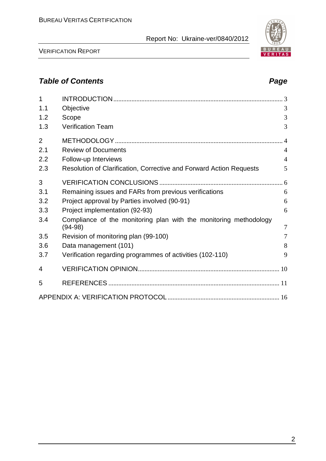

VERIFICATION REPORT

# **Table of Contents Page 2018**

| 1              |                                                                                |                |
|----------------|--------------------------------------------------------------------------------|----------------|
| 1.1            | Objective                                                                      | 3              |
| 1.2            | Scope                                                                          | 3              |
| 1.3            | <b>Verification Team</b>                                                       | 3              |
| $\overline{2}$ |                                                                                |                |
| 2.1            | <b>Review of Documents</b>                                                     | $\overline{4}$ |
| 2.2            | Follow-up Interviews                                                           | $\overline{4}$ |
| 2.3            | Resolution of Clarification, Corrective and Forward Action Requests            | 5              |
| 3              |                                                                                |                |
| 3.1            | Remaining issues and FARs from previous verifications                          | 6              |
| 3.2            | Project approval by Parties involved (90-91)                                   | 6              |
| 3.3            | Project implementation (92-93)                                                 | 6              |
| 3.4            | Compliance of the monitoring plan with the monitoring methodology<br>$(94-98)$ | $\overline{7}$ |
| 3.5            | Revision of monitoring plan (99-100)                                           | $\overline{7}$ |
| 3.6            | Data management (101)                                                          | 8              |
| 3.7            | Verification regarding programmes of activities (102-110)                      | 9              |
| 4              |                                                                                |                |
| 5              |                                                                                |                |
|                |                                                                                |                |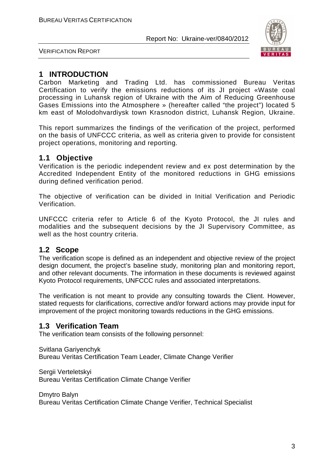

VERIFICATION REPORT

# **1 INTRODUCTION**

Carbon Marketing and Trading Ltd. has commissioned Bureau Veritas Certification to verify the emissions reductions of its JI project «Waste coal processing in Luhansk region of Ukraine with the Aim of Reducing Greenhouse Gases Emissions into the Atmosphere » (hereafter called "the project") located 5 km east of Molodohvardіysk town Krasnodon district, Luhansk Region, Ukraine.

This report summarizes the findings of the verification of the project, performed on the basis of UNFCCC criteria, as well as criteria given to provide for consistent project operations, monitoring and reporting.

# **1.1 Objective**

Verification is the periodic independent review and ex post determination by the Accredited Independent Entity of the monitored reductions in GHG emissions during defined verification period.

The objective of verification can be divided in Initial Verification and Periodic Verification.

UNFCCC criteria refer to Article 6 of the Kyoto Protocol, the JI rules and modalities and the subsequent decisions by the JI Supervisory Committee, as well as the host country criteria.

# **1.2 Scope**

The verification scope is defined as an independent and objective review of the project design document, the project's baseline study, monitoring plan and monitoring report, and other relevant documents. The information in these documents is reviewed against Kyoto Protocol requirements, UNFCCC rules and associated interpretations.

The verification is not meant to provide any consulting towards the Client. However, stated requests for clarifications, corrective and/or forward actions may provide input for improvement of the project monitoring towards reductions in the GHG emissions.

# **1.3 Verification Team**

The verification team consists of the following personnel:

Svitlana Gariyenchyk Bureau Veritas Certification Team Leader, Climate Change Verifier

Sergii Verteletskyi Bureau Veritas Certification Climate Change Verifier

Dmytro Balyn Bureau Veritas Certification Climate Change Verifier, Technical Specialist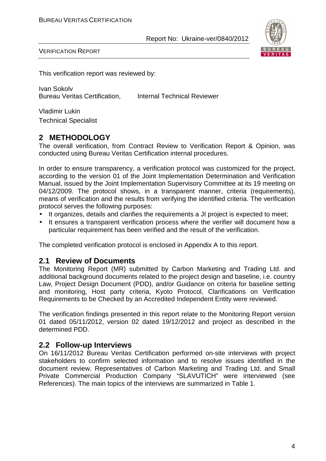

VERIFICATION REPORT

This verification report was reviewed by:

Ivan Sokolv Bureau Veritas Certification, Internal Technical Reviewer

Vladimir Lukin Technical Specialist

# **2 METHODOLOGY**

The overall verification, from Contract Review to Verification Report & Opinion, was conducted using Bureau Veritas Certification internal procedures.

In order to ensure transparency, a verification protocol was customized for the project, according to the version 01 of the Joint Implementation Determination and Verification Manual, issued by the Joint Implementation Supervisory Committee at its 19 meeting on 04/12/2009. The protocol shows, in a transparent manner, criteria (requirements), means of verification and the results from verifying the identified criteria. The verification protocol serves the following purposes:

- It organizes, details and clarifies the requirements a JI project is expected to meet;
- It ensures a transparent verification process where the verifier will document how a particular requirement has been verified and the result of the verification.

The completed verification protocol is enclosed in Appendix A to this report.

#### **2.1 Review of Documents**

The Monitoring Report (MR) submitted by Carbon Marketing and Trading Ltd. and additional background documents related to the project design and baseline, i.e. country Law, Project Design Document (PDD), and/or Guidance on criteria for baseline setting and monitoring, Host party criteria, Kyoto Protocol, Clarifications on Verification Requirements to be Checked by an Accredited Independent Entity were reviewed.

The verification findings presented in this report relate to the Monitoring Report version 01 dated 05/11/2012, version 02 dated 19/12/2012 and project as described in the determined PDD.

### **2.2 Follow-up Interviews**

On 16/11/2012 Bureau Veritas Certification performed on-site interviews with project stakeholders to confirm selected information and to resolve issues identified in the document review. Representatives of Carbon Marketing and Trading Ltd. and Small Private Commercial Production Company "SLAVUTICH" were interviewed (see References). The main topics of the interviews are summarized in Table 1.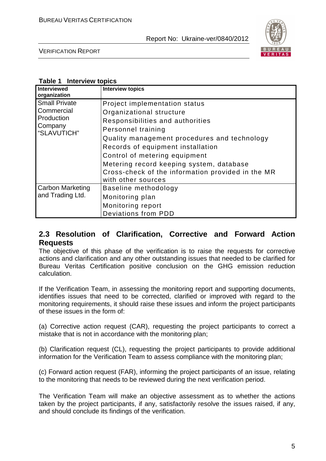

VERIFICATION REPORT

#### **Table 1 Interview topics**

| <b>Interviewed</b><br>organization                                         | <b>Interview topics</b>                                                                                                                                                                                                                                                                                                                                          |
|----------------------------------------------------------------------------|------------------------------------------------------------------------------------------------------------------------------------------------------------------------------------------------------------------------------------------------------------------------------------------------------------------------------------------------------------------|
| <b>Small Private</b><br>Commercial<br>Production<br>Company<br>"SLAVUTICH" | Project implementation status<br>Organizational structure<br>Responsibilities and authorities<br>Personnel training<br>Quality management procedures and technology<br>Records of equipment installation<br>Control of metering equipment<br>Metering record keeping system, database<br>Cross-check of the information provided in the MR<br>with other sources |
| <b>Carbon Marketing</b><br>and Trading Ltd.                                | Baseline methodology<br>Monitoring plan<br>Monitoring report<br><b>Deviations from PDD</b>                                                                                                                                                                                                                                                                       |

# **2.3 Resolution of Clarification, Corrective and Forward Action Requests**

The objective of this phase of the verification is to raise the requests for corrective actions and clarification and any other outstanding issues that needed to be clarified for Bureau Veritas Certification positive conclusion on the GHG emission reduction calculation.

If the Verification Team, in assessing the monitoring report and supporting documents, identifies issues that need to be corrected, clarified or improved with regard to the monitoring requirements, it should raise these issues and inform the project participants of these issues in the form of:

(a) Corrective action request (CAR), requesting the project participants to correct a mistake that is not in accordance with the monitoring plan;

(b) Clarification request (CL), requesting the project participants to provide additional information for the Verification Team to assess compliance with the monitoring plan;

(c) Forward action request (FAR), informing the project participants of an issue, relating to the monitoring that needs to be reviewed during the next verification period.

The Verification Team will make an objective assessment as to whether the actions taken by the project participants, if any, satisfactorily resolve the issues raised, if any, and should conclude its findings of the verification.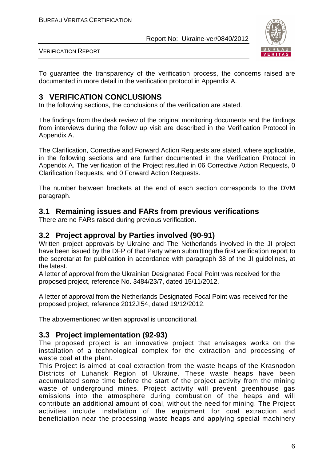

VERIFICATION REPORT

To guarantee the transparency of the verification process, the concerns raised are documented in more detail in the verification protocol in Appendix A.

# **3 VERIFICATION CONCLUSIONS**

In the following sections, the conclusions of the verification are stated.

The findings from the desk review of the original monitoring documents and the findings from interviews during the follow up visit are described in the Verification Protocol in Appendix A.

The Clarification, Corrective and Forward Action Requests are stated, where applicable, in the following sections and are further documented in the Verification Protocol in Appendix A. The verification of the Project resulted in 06 Corrective Action Requests, 0 Clarification Requests, and 0 Forward Action Requests.

The number between brackets at the end of each section corresponds to the DVM paragraph.

### **3.1 Remaining issues and FARs from previous verifications**

There are no FARs raised during previous verification.

### **3.2 Project approval by Parties involved (90-91)**

Written project approvals by Ukraine and The Netherlands involved in the JI project have been issued by the DFP of that Party when submitting the first verification report to the secretariat for publication in accordance with paragraph 38 of the JI guidelines, at the latest.

A letter of approval from the Ukrainian Designated Focal Point was received for the proposed project, reference No. 3484/23/7, dated 15/11/2012.

A letter of approval from the Netherlands Designated Focal Point was received for the proposed project, reference 2012JI54, dated 19/12/2012.

The abovementioned written approval is unconditional.

### **3.3 Project implementation (92-93)**

The proposed project is an innovative project that envisages works on the installation of a technological complex for the extraction and processing of waste coal at the plant.

This Project is aimed at coal extraction from the waste heaps of the Krasnodon Districts of Luhansk Region of Ukraine. These waste heaps have been accumulated some time before the start of the project activity from the mining waste of underground mines. Project activity will prevent greenhouse gas emissions into the atmosphere during combustion of the heaps and will contribute an additional amount of coal, without the need for mining. The Project activities include installation of the equipment for coal extraction and beneficiation near the processing waste heaps and applying special machinery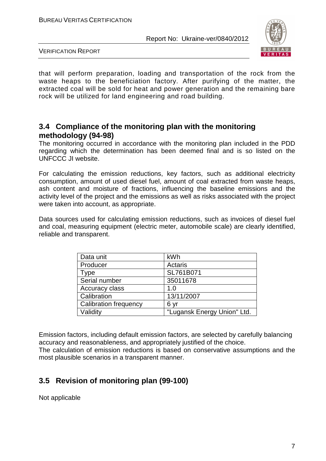

VERIFICATION REPORT

that will perform preparation, loading and transportation of the rock from the waste heaps to the beneficiation factory. After purifying of the matter, the extracted coal will be sold for heat and power generation and the remaining bare rock will be utilized for land engineering and road building.

# **3.4 Compliance of the monitoring plan with the monitoring methodology (94-98)**

The monitoring occurred in accordance with the monitoring plan included in the PDD regarding which the determination has been deemed final and is so listed on the UNFCCC JI website.

For calculating the emission reductions, key factors, such as additional electricity consumption, amount of used diesel fuel, amount of coal extracted from waste heaps, ash content and moisture of fractions, influencing the baseline emissions and the activity level of the project and the emissions as well as risks associated with the project were taken into account, as appropriate.

Data sources used for calculating emission reductions, such as invoices of diesel fuel and coal, measuring equipment (electric meter, automobile scale) are clearly identified, reliable and transparent.

| Data unit                    | kWh                         |
|------------------------------|-----------------------------|
| Producer                     | Actaris                     |
| Type                         | SL761B071                   |
| Serial number                | 35011678                    |
| Accuracy class               | 1.0                         |
| Calibration                  | 13/11/2007                  |
| <b>Calibration frequency</b> | 6 yr                        |
| Validity                     | "Lugansk Energy Union" Ltd. |

Emission factors, including default emission factors, are selected by carefully balancing accuracy and reasonableness, and appropriately justified of the choice. The calculation of emission reductions is based on conservative assumptions and the most plausible scenarios in a transparent manner.

# **3.5 Revision of monitoring plan (99-100)**

Not applicable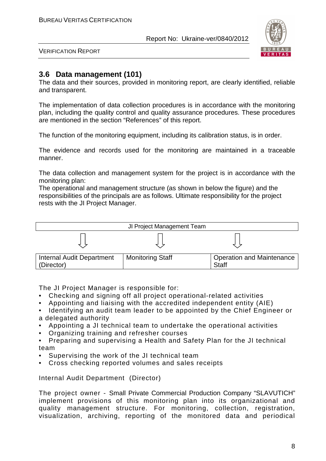

VERIFICATION REPORT

# **3.6 Data management (101)**

The data and their sources, provided in monitoring report, are clearly identified, reliable and transparent.

The implementation of data collection procedures is in accordance with the monitoring plan, including the quality control and quality assurance procedures. These procedures are mentioned in the section "References" of this report.

The function of the monitoring equipment, including its calibration status, is in order.

The evidence and records used for the monitoring are maintained in a traceable manner.

The data collection and management system for the project is in accordance with the monitoring plan:

The operational and management structure (as shown in below the figure) and the responsibilities of the principals are as follows. Ultimate responsibility for the project rests with the JI Project Manager.



The JI Project Manager is responsible for:

- Checking and signing off all project operational-related activities
- Appointing and liaising with the accredited independent entity (AIE)
- Identifying an audit team leader to be appointed by the Chief Engineer or a delegated authority
- Appointing a JI technical team to undertake the operational activities
- Organizing training and refresher courses
- Preparing and supervising a Health and Safety Plan for the JI technical team
- Supervising the work of the JI technical team
- Cross checking reported volumes and sales receipts

Internal Audit Department (Director)

The project owner - Small Private Commercial Production Company "SLAVUTICH" implement provisions of this monitoring plan into its organizational and quality management structure. For monitoring, collection, registration, visualization, archiving, reporting of the monitored data and periodical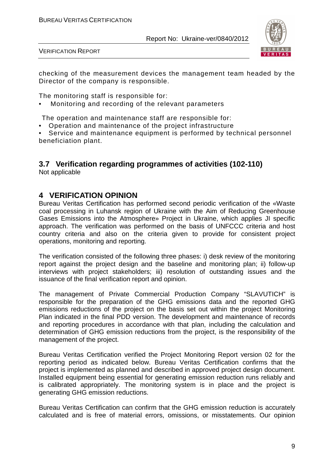

VERIFICATION REPORT

checking of the measurement devices the management team headed by the Director of the company is responsible.

The monitoring staff is responsible for:

• Monitoring and recording of the relevant parameters

The operation and maintenance staff are responsible for:

• Operation and maintenance of the project infrastructure

• Service and maintenance equipment is performed by technical personnel beneficiation plant.

# **3.7 Verification regarding programmes of activities (102-110)**

Not applicable

#### **4 VERIFICATION OPINION**

Bureau Veritas Certification has performed second periodic verification of the «Waste coal processing in Luhansk region of Ukraine with the Aim of Reducing Greenhouse Gases Emissions into the Atmosphere» Project in Ukraine, which applies JI specific approach. The verification was performed on the basis of UNFCCC criteria and host country criteria and also on the criteria given to provide for consistent project operations, monitoring and reporting.

The verification consisted of the following three phases: i) desk review of the monitoring report against the project design and the baseline and monitoring plan; ii) follow-up interviews with project stakeholders; iii) resolution of outstanding issues and the issuance of the final verification report and opinion.

The management of Private Commercial Production Company "SLAVUTICH" is responsible for the preparation of the GHG emissions data and the reported GHG emissions reductions of the project on the basis set out within the project Monitoring Plan indicated in the final PDD version. The development and maintenance of records and reporting procedures in accordance with that plan, including the calculation and determination of GHG emission reductions from the project, is the responsibility of the management of the project.

Bureau Veritas Certification verified the Project Monitoring Report version 02 for the reporting period as indicated below. Bureau Veritas Certification confirms that the project is implemented as planned and described in approved project design document. Installed equipment being essential for generating emission reduction runs reliably and is calibrated appropriately. The monitoring system is in place and the project is generating GHG emission reductions.

Bureau Veritas Certification can confirm that the GHG emission reduction is accurately calculated and is free of material errors, omissions, or misstatements. Our opinion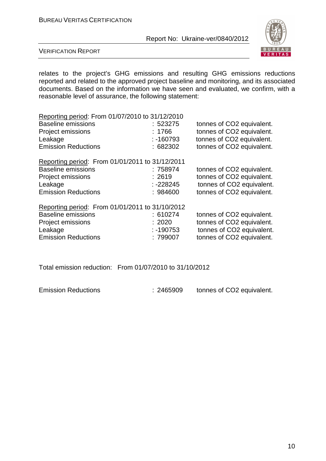

VERIFICATION REPORT

relates to the project's GHG emissions and resulting GHG emissions reductions reported and related to the approved project baseline and monitoring, and its associated documents. Based on the information we have seen and evaluated, we confirm, with a reasonable level of assurance, the following statement:

| Reporting period: From 01/07/2010 to 31/12/2010 |             |                           |  |  |  |
|-------------------------------------------------|-------------|---------------------------|--|--|--|
| <b>Baseline emissions</b>                       | :523275     | tonnes of CO2 equivalent. |  |  |  |
| Project emissions                               | : $1766$    | tonnes of CO2 equivalent. |  |  |  |
| Leakage                                         | $: -160793$ | tonnes of CO2 equivalent. |  |  |  |
| <b>Emission Reductions</b>                      | :682302     | tonnes of CO2 equivalent. |  |  |  |
| Reporting period: From 01/01/2011 to 31/12/2011 |             |                           |  |  |  |
| <b>Baseline emissions</b>                       | : 758974    | tonnes of CO2 equivalent. |  |  |  |
| Project emissions                               | : 2619      | tonnes of CO2 equivalent. |  |  |  |
| Leakage                                         | $: -228245$ | tonnes of CO2 equivalent. |  |  |  |
| <b>Emission Reductions</b>                      | : 984600    | tonnes of CO2 equivalent. |  |  |  |
| Reporting period: From 01/01/2011 to 31/10/2012 |             |                           |  |  |  |
| <b>Baseline emissions</b>                       | : 610274    | tonnes of CO2 equivalent. |  |  |  |
| <b>Project emissions</b>                        | : 2020      | tonnes of CO2 equivalent. |  |  |  |
| Leakage                                         | $: -190753$ | tonnes of CO2 equivalent. |  |  |  |
| <b>Emission Reductions</b>                      | :799007     | tonnes of CO2 equivalent. |  |  |  |

Total emission reduction: From 01/07/2010 to 31/10/2012

Emission Reductions : 2465909 tonnes of CO2 equivalent.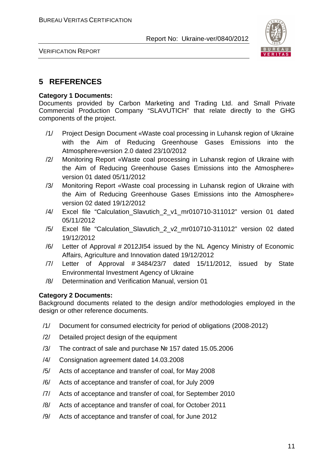

VERIFICATION REPORT

# **5 REFERENCES**

#### **Category 1 Documents:**

Documents provided by Carbon Marketing and Trading Ltd. and Small Private Commercial Production Company "SLAVUTICH" that relate directly to the GHG components of the project.

- /1/ Project Design Document «Waste coal processing in Luhansk region of Ukraine with the Aim of Reducing Greenhouse Gases Emissions into the Atmosphere»version 2.0 dated 23/10/2012
- /2/ Monitoring Report «Waste coal processing in Luhansk region of Ukraine with the Aim of Reducing Greenhouse Gases Emissions into the Atmosphere» version 01 dated 05/11/2012
- /3/ Monitoring Report «Waste coal processing in Luhansk region of Ukraine with the Aim of Reducing Greenhouse Gases Emissions into the Atmosphere» version 02 dated 19/12/2012
- /4/ Excel file "Calculation Slavutich 2 v1 mr010710-311012" version 01 dated 05/11/2012
- /5/ Excel file "Calculation\_Slavutich\_2\_v2\_mr010710-311012" version 02 dated 19/12/2012
- /6/ Letter of Approval # 2012JI54 issued by the NL Agency Ministry of Economic Affairs, Agriculture and Innovation dated 19/12/2012
- /7/ Letter of Approval # 3484/23/7 dated 15/11/2012, issued by State Environmental Investment Agency of Ukraine
- /8/ Determination and Verification Manual, version 01

#### **Category 2 Documents:**

Background documents related to the design and/or methodologies employed in the design or other reference documents.

- /1/ Document for consumed electricity for period of obligations (2008-2012)
- /2/ Detailed project design of the equipment
- /3/ The contract of sale and purchase № 157 dated 15.05.2006
- /4/ Consignation agreement dated 14.03.2008
- /5/ Acts of acceptance and transfer of coal, for May 2008
- /6/ Acts of acceptance and transfer of coal, for July 2009
- /7/ Acts of acceptance and transfer of coal, for September 2010
- /8/ Acts of acceptance and transfer of coal, for October 2011
- /9/ Acts of acceptance and transfer of coal, for June 2012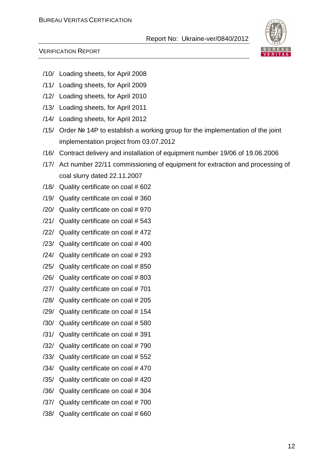

#### VERIFICATION REPORT

- /10/ Loading sheets, for April 2008
- /11/ Loading sheets, for April 2009
- /12/ Loading sheets, for April 2010
- /13/ Loading sheets, for April 2011
- /14/ Loading sheets, for April 2012
- /15/ Order № 14P to establish a working group for the implementation of the joint implementation project from 03.07.2012
- /16/ Contract delivery and installation of equipment number 19/06 of 19.06.2006
- /17/ Act number 22/11 commissioning of equipment for extraction and processing of coal slurry dated 22.11.2007
- /18/ Quality certificate on coal # 602
- /19/ Quality certificate on coal # 360
- /20/ Quality certificate on coal # 970
- /21/ Quality certificate on coal # 543
- /22/ Quality certificate on coal # 472
- /23/ Quality certificate on coal # 400
- /24/ Quality certificate on coal # 293
- /25/ Quality certificate on coal # 850
- /26/ Quality certificate on coal # 803
- /27/ Quality certificate on coal # 701
- /28/ Quality certificate on coal # 205
- /29/ Quality certificate on coal # 154
- /30/ Quality certificate on coal # 580
- /31/ Quality certificate on coal # 391
- /32/ Quality certificate on coal # 790
- /33/ Quality certificate on coal # 552
- /34/ Quality certificate on coal # 470
- /35/ Quality certificate on coal # 420
- /36/ Quality certificate on coal # 304
- /37/ Quality certificate on coal # 700
- /38/ Quality certificate on coal # 660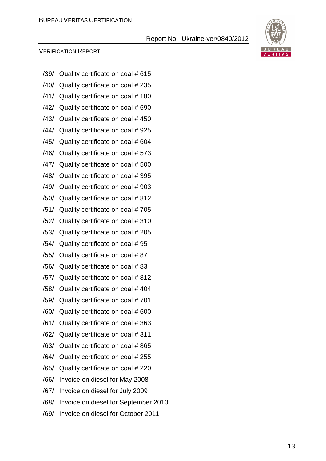# BURE AU. VERITAS

#### VERIFICATION REPORT

| /39/ | Quality certificate on coal # 615    |
|------|--------------------------------------|
| /40/ | Quality certificate on coal # 235    |
| /41/ | Quality certificate on coal #180     |
| /42/ | Quality certificate on coal # 690    |
| /43/ | Quality certificate on coal #450     |
| /44/ | Quality certificate on coal #925     |
| /45/ | Quality certificate on coal #604     |
| /46/ | Quality certificate on coal # 573    |
| /47/ | Quality certificate on coal # 500    |
| /48/ | Quality certificate on coal #395     |
| /49/ | Quality certificate on coal #903     |
| /50/ | Quality certificate on coal #812     |
| /51/ | Quality certificate on coal #705     |
| /52/ | Quality certificate on coal #310     |
| /53/ | Quality certificate on coal # 205    |
| /54/ | Quality certificate on coal #95      |
| /55/ | Quality certificate on coal #87      |
| /56/ | Quality certificate on coal #83      |
| /57/ | Quality certificate on coal # 812    |
| /58/ | Quality certificate on coal #404     |
| /59/ | Quality certificate on coal #701     |
| /60/ | Quality certificate on coal # 600    |
| /61/ | Quality certificate on coal #363     |
| /62/ | Quality certificate on coal #311     |
| /63/ | Quality certificate on coal # 865    |
| /64/ | Quality certificate on coal # 255    |
| /65/ | Quality certificate on coal # 220    |
| /66/ | Invoice on diesel for May 2008       |
| /67/ | Invoice on diesel for July 2009      |
| /68/ | Invoice on diesel for September 2010 |
| /69/ | Invoice on diesel for October 2011   |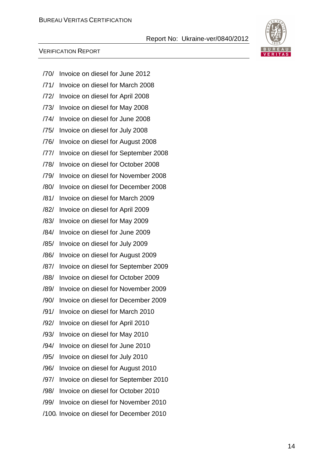#### VERIFICATION REPORT



- /70/ Invoice on diesel for June 2012
- /71/ Invoice on diesel for March 2008
- /72/ Invoice on diesel for April 2008
- /73/ Invoice on diesel for May 2008
- /74/ Invoice on diesel for June 2008
- /75/ Invoice on diesel for July 2008
- /76/ Invoice on diesel for August 2008
- /77/ Invoice on diesel for September 2008
- /78/ Invoice on diesel for October 2008
- /79/ Invoice on diesel for November 2008
- /80/ Invoice on diesel for December 2008
- /81/ Invoice on diesel for March 2009
- /82/ Invoice on diesel for April 2009
- /83/ Invoice on diesel for May 2009
- /84/ Invoice on diesel for June 2009
- /85/ Invoice on diesel for July 2009
- /86/ Invoice on diesel for August 2009
- /87/ Invoice on diesel for September 2009
- /88/ Invoice on diesel for October 2009
- /89/ Invoice on diesel for November 2009
- /90/ Invoice on diesel for December 2009
- /91/ Invoice on diesel for March 2010
- /92/ Invoice on diesel for April 2010
- /93/ Invoice on diesel for May 2010
- /94/ Invoice on diesel for June 2010
- /95/ Invoice on diesel for July 2010
- /96/ Invoice on diesel for August 2010
- /97/ Invoice on diesel for September 2010
- /98/ Invoice on diesel for October 2010
- /99/ Invoice on diesel for November 2010
- /100/ Invoice on diesel for December 2010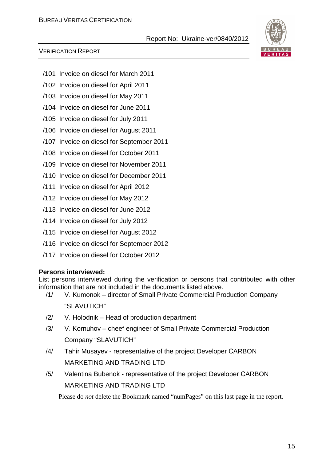#### VERIFICATION REPORT

- /101/ Invoice on diesel for March 2011
- /102/ Invoice on diesel for April 2011
- /103/ Invoice on diesel for May 2011
- /104/ Invoice on diesel for June 2011
- /105/ Invoice on diesel for July 2011
- /106/ Invoice on diesel for August 2011
- /107/ Invoice on diesel for September 2011
- /108/ Invoice on diesel for October 2011
- /109/ Invoice on diesel for November 2011
- /110/ Invoice on diesel for December 2011
- /111/ Invoice on diesel for April 2012
- /112/ Invoice on diesel for May 2012
- /113/ Invoice on diesel for June 2012
- /114/ Invoice on diesel for July 2012
- /115/ Invoice on diesel for August 2012
- /116/ Invoice on diesel for September 2012
- /117/ Invoice on diesel for October 2012

#### **Persons interviewed:**

List persons interviewed during the verification or persons that contributed with other information that are not included in the documents listed above.

- /1/ V. Kumonok director of Small Private Commercial Production Company "SLAVUTICH"
- /2/ V. Holodnik Head of production department
- /3/ V. Kornuhov cheef engineer of Small Private Commercial Production Company "SLAVUTICH"
- /4/ Tahir Musayev representative of the project Developer СARBON MARKETING AND TRADING LTD
- /5/ Valentina Bubenok representative of the project Developer СARBON MARKETING AND TRADING LTD

Please do *not* delete the Bookmark named "numPages" on this last page in the report.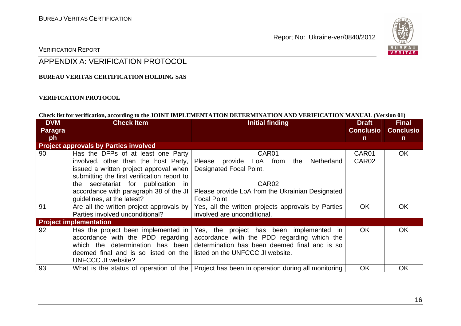

#### VERIFICATION REPORT

# APPENDIX A: VERIFICATION PROTOCOL

#### **BUREAU VERITAS CERTIFICATION HOLDING SAS**

#### **VERIFICATION PROTOCOL**

#### **Check list for verification, according to the JOINT IMPLEMENTATION DETERMINATION AND VERIFICATION MANUAL (Version 01)**

| <b>DVM</b><br><b>Paragra</b> | <b>Check Item</b>                            | <b>Initial finding</b>                                                                       | <b>Draft</b><br><b>Conclusio</b> | <b>Final</b><br><b>Conclusio</b> |
|------------------------------|----------------------------------------------|----------------------------------------------------------------------------------------------|----------------------------------|----------------------------------|
| ph                           |                                              |                                                                                              | $\mathsf{n}$                     | $\mathsf{n}$                     |
|                              | <b>Project approvals by Parties involved</b> |                                                                                              |                                  |                                  |
| 90                           | Has the DFPs of at least one Party           | CAR01                                                                                        | CAR01                            | OK                               |
|                              | involved, other than the host Party,         | Please provide LoA from<br>the Netherland                                                    | CAR <sub>02</sub>                |                                  |
|                              | issued a written project approval when       | <b>Designated Focal Point.</b>                                                               |                                  |                                  |
|                              | submitting the first verification report to  |                                                                                              |                                  |                                  |
|                              | the secretariat for publication in           | CAR <sub>02</sub>                                                                            |                                  |                                  |
|                              | accordance with paragraph 38 of the JI       | Please provide LoA from the Ukrainian Designated                                             |                                  |                                  |
|                              | guidelines, at the latest?                   | Focal Point.                                                                                 |                                  |                                  |
| 91                           | Are all the written project approvals by     | Yes, all the written projects approvals by Parties                                           | <b>OK</b>                        | <b>OK</b>                        |
|                              | Parties involved unconditional?              | involved are unconditional.                                                                  |                                  |                                  |
|                              | <b>Project implementation</b>                |                                                                                              |                                  |                                  |
| 92                           | Has the project been implemented in          | Yes, the project has been<br>implemented in                                                  | <b>OK</b>                        | <b>OK</b>                        |
|                              | accordance with the PDD regarding            | accordance with the PDD regarding which the                                                  |                                  |                                  |
|                              | which the determination has been             | determination has been deemed final and is so                                                |                                  |                                  |
|                              | deemed final and is so listed on the         | listed on the UNFCCC JI website.                                                             |                                  |                                  |
|                              | UNFCCC JI website?                           |                                                                                              |                                  |                                  |
| 93                           |                                              | What is the status of operation of the   Project has been in operation during all monitoring | <b>OK</b>                        | <b>OK</b>                        |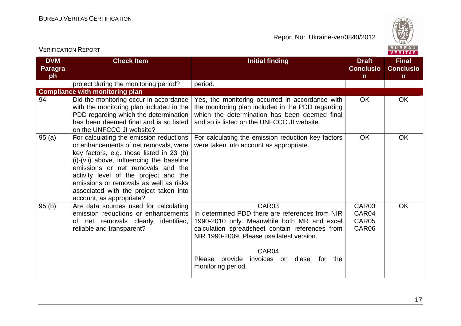

| <b>VERIFICATION REPORT</b>         |                                                                                                                                                                                                                                                                                                                                                                         |                                                                                                                                                                                                                                                                                                    |                                                  | <b>BUREAU</b><br>VERITAS              |
|------------------------------------|-------------------------------------------------------------------------------------------------------------------------------------------------------------------------------------------------------------------------------------------------------------------------------------------------------------------------------------------------------------------------|----------------------------------------------------------------------------------------------------------------------------------------------------------------------------------------------------------------------------------------------------------------------------------------------------|--------------------------------------------------|---------------------------------------|
| <b>DVM</b><br><b>Paragra</b><br>ph | <b>Check Item</b>                                                                                                                                                                                                                                                                                                                                                       | <b>Initial finding</b>                                                                                                                                                                                                                                                                             | <b>Draft</b><br><b>Conclusio</b><br>$\mathsf{n}$ | <b>Final</b><br><b>Conclusio</b><br>n |
|                                    | project during the monitoring period?                                                                                                                                                                                                                                                                                                                                   | period.                                                                                                                                                                                                                                                                                            |                                                  |                                       |
|                                    | <b>Compliance with monitoring plan</b>                                                                                                                                                                                                                                                                                                                                  |                                                                                                                                                                                                                                                                                                    |                                                  |                                       |
| 94                                 | Did the monitoring occur in accordance<br>with the monitoring plan included in the<br>PDD regarding which the determination<br>has been deemed final and is so listed<br>on the UNFCCC JI website?                                                                                                                                                                      | Yes, the monitoring occurred in accordance with<br>the monitoring plan included in the PDD regarding<br>which the determination has been deemed final<br>and so is listed on the UNFCCC JI website.                                                                                                | <b>OK</b>                                        | <b>OK</b>                             |
| 95(a)                              | For calculating the emission reductions<br>or enhancements of net removals, were<br>key factors, e.g. those listed in 23 (b)<br>(i)-(vii) above, influencing the baseline<br>emissions or net removals and the<br>activity level of the project and the<br>emissions or removals as well as risks<br>associated with the project taken into<br>account, as appropriate? | For calculating the emission reduction key factors<br>were taken into account as appropriate.                                                                                                                                                                                                      | <b>OK</b>                                        | <b>OK</b>                             |
| 95(b)                              | Are data sources used for calculating<br>emission reductions or enhancements<br>of net removals clearly identified,<br>reliable and transparent?                                                                                                                                                                                                                        | CAR <sub>03</sub><br>In determined PDD there are references from NIR<br>1990-2010 only. Meanwhile both MR and excel<br>calculation spreadsheet contain references from<br>NIR 1990-2009. Please use latest version.<br>CAR04<br>Please provide<br>invoices on diesel for the<br>monitoring period. | CAR03<br>CAR04<br>CAR05<br>CAR06                 | <b>OK</b>                             |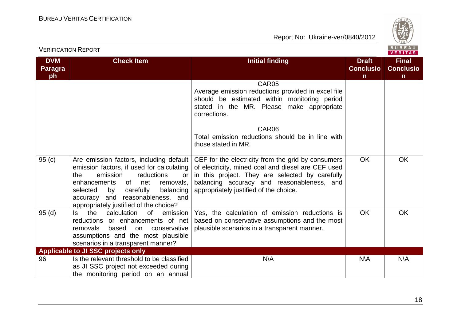

|                                    | <b>VERIFICATION REPORT</b>                                                                                                                                                                                                                                  |                                                                                                                                                                                                                                                                                                                    |                                                  | BUREAU<br><b>VERITAS</b>                         |
|------------------------------------|-------------------------------------------------------------------------------------------------------------------------------------------------------------------------------------------------------------------------------------------------------------|--------------------------------------------------------------------------------------------------------------------------------------------------------------------------------------------------------------------------------------------------------------------------------------------------------------------|--------------------------------------------------|--------------------------------------------------|
| <b>DVM</b><br><b>Paragra</b><br>ph | <b>Check Item</b>                                                                                                                                                                                                                                           | <b>Initial finding</b>                                                                                                                                                                                                                                                                                             | <b>Draft</b><br><b>Conclusio</b><br>$\mathsf{n}$ | <b>Final</b><br><b>Conclusio</b><br>$\mathsf{n}$ |
| 95(c)                              | Are emission factors, including default                                                                                                                                                                                                                     | CAR05<br>Average emission reductions provided in excel file<br>should be estimated within monitoring period<br>stated in the MR. Please make appropriate<br>corrections.<br>CAR06<br>Total emission reductions should be in line with<br>those stated in MR.<br>CEF for the electricity from the grid by consumers | <b>OK</b>                                        | <b>OK</b>                                        |
|                                    | emission factors, if used for calculating<br>the<br>emission<br>reductions<br><b>or</b><br>enhancements<br>of<br>removals.<br>net<br>balancing<br>selected<br>carefully<br>by<br>accuracy and reasonableness, and<br>appropriately justified of the choice? | of electricity, mined coal and diesel are CEF used<br>in this project. They are selected by carefully<br>balancing accuracy and reasonableness, and<br>appropriately justified of the choice.                                                                                                                      |                                                  |                                                  |
| 95(d)                              | the<br>calculation<br>ls.<br>0f<br>emission<br>reductions or enhancements of net<br>removals<br>based<br>conservative<br><b>on</b><br>assumptions and the most plausible<br>scenarios in a transparent manner?                                              | Yes, the calculation of emission reductions is<br>based on conservative assumptions and the most<br>plausible scenarios in a transparent manner.                                                                                                                                                                   | <b>OK</b>                                        | <b>OK</b>                                        |
| 96                                 | <b>Applicable to JI SSC projects only</b><br>Is the relevant threshold to be classified<br>as JI SSC project not exceeded during<br>the monitoring period on an annual                                                                                      | <b>N\A</b>                                                                                                                                                                                                                                                                                                         | <b>N\A</b>                                       | <b>N\A</b>                                       |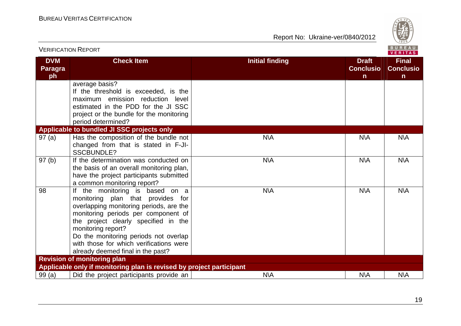

|                                    | <b>VERIFICATION REPORT</b>                                                                                                                                                                                                                                                                                                                    |                        |                                                  | <b>BUREAU</b><br><b>VERITAS</b>                  |
|------------------------------------|-----------------------------------------------------------------------------------------------------------------------------------------------------------------------------------------------------------------------------------------------------------------------------------------------------------------------------------------------|------------------------|--------------------------------------------------|--------------------------------------------------|
| <b>DVM</b><br><b>Paragra</b><br>ph | <b>Check Item</b>                                                                                                                                                                                                                                                                                                                             | <b>Initial finding</b> | <b>Draft</b><br><b>Conclusio</b><br>$\mathsf{n}$ | <b>Final</b><br><b>Conclusio</b><br>$\mathsf{n}$ |
|                                    | average basis?<br>If the threshold is exceeded, is the<br>maximum emission reduction level<br>estimated in the PDD for the JI SSC<br>project or the bundle for the monitoring<br>period determined?                                                                                                                                           |                        |                                                  |                                                  |
|                                    | Applicable to bundled JI SSC projects only                                                                                                                                                                                                                                                                                                    |                        |                                                  |                                                  |
| 97(a)                              | Has the composition of the bundle not<br>changed from that is stated in F-JI-<br><b>SSCBUNDLE?</b>                                                                                                                                                                                                                                            | <b>N\A</b>             | N\A                                              | <b>N\A</b>                                       |
| 97(b)                              | If the determination was conducted on<br>the basis of an overall monitoring plan,<br>have the project participants submitted<br>a common monitoring report?                                                                                                                                                                                   | N\A                    | N\A                                              | <b>N\A</b>                                       |
| 98                                 | If the monitoring is based on a<br>monitoring plan that provides for<br>overlapping monitoring periods, are the<br>monitoring periods per component of<br>the project clearly specified in the<br>monitoring report?<br>Do the monitoring periods not overlap<br>with those for which verifications were<br>already deemed final in the past? | <b>N\A</b>             | $N\setminus A$                                   | <b>N\A</b>                                       |
|                                    | <b>Revision of monitoring plan</b>                                                                                                                                                                                                                                                                                                            |                        |                                                  |                                                  |
|                                    | Applicable only if monitoring plan is revised by project participant                                                                                                                                                                                                                                                                          |                        |                                                  |                                                  |
| 99(a)                              | Did the project participants provide an                                                                                                                                                                                                                                                                                                       | <b>N\A</b>             | N\A                                              | N\A                                              |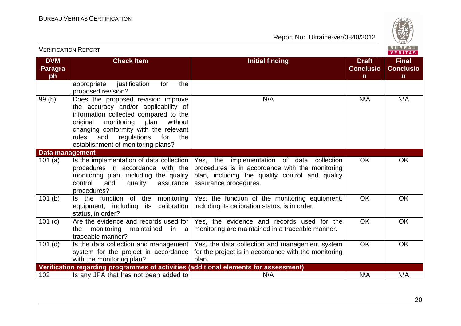

| <b>VERIFICATION REPORT</b>         |                                                                                                                                                                                                                                                                                              |                                                                                                                                                                           |                                                  | BUREAU<br><b>VERITAS</b>                         |
|------------------------------------|----------------------------------------------------------------------------------------------------------------------------------------------------------------------------------------------------------------------------------------------------------------------------------------------|---------------------------------------------------------------------------------------------------------------------------------------------------------------------------|--------------------------------------------------|--------------------------------------------------|
| <b>DVM</b><br><b>Paragra</b><br>ph | <b>Check Item</b>                                                                                                                                                                                                                                                                            | <b>Initial finding</b>                                                                                                                                                    | <b>Draft</b><br><b>Conclusio</b><br>$\mathsf{n}$ | <b>Final</b><br><b>Conclusio</b><br>$\mathsf{n}$ |
|                                    | justification<br>the<br>appropriate<br>for<br>proposed revision?                                                                                                                                                                                                                             |                                                                                                                                                                           |                                                  |                                                  |
| 99(b)                              | Does the proposed revision improve<br>the accuracy and/or applicability of<br>information collected compared to the<br>original<br>monitoring<br>plan<br>without<br>changing conformity with the relevant<br>rules<br>regulations<br>for<br>and<br>the<br>establishment of monitoring plans? | N\A                                                                                                                                                                       | N\A                                              | N\A                                              |
| <b>Data management</b>             |                                                                                                                                                                                                                                                                                              |                                                                                                                                                                           |                                                  |                                                  |
| 101(a)                             | Is the implementation of data collection  <br>procedures in accordance with the<br>monitoring plan, including the quality<br>control<br>and<br>quality<br>assurance<br>procedures?                                                                                                           | Yes, the implementation of data collection<br>procedures is in accordance with the monitoring<br>plan, including the quality control and quality<br>assurance procedures. | <b>OK</b>                                        | <b>OK</b>                                        |
| 101(b)                             | Is the function of the monitoring<br>its calibration<br>equipment, including<br>status, in order?                                                                                                                                                                                            | Yes, the function of the monitoring equipment,<br>including its calibration status, is in order.                                                                          | <b>OK</b>                                        | OK                                               |
| 101(c)                             | Are the evidence and records used for  <br>monitoring<br>the<br>maintained<br>in a<br>traceable manner?                                                                                                                                                                                      | Yes, the evidence and records used for the<br>monitoring are maintained in a traceable manner.                                                                            | OK                                               | OK                                               |
| $101$ (d)                          | Is the data collection and management  <br>system for the project in accordance<br>with the monitoring plan?                                                                                                                                                                                 | Yes, the data collection and management system<br>for the project is in accordance with the monitoring<br>plan.                                                           | <b>OK</b>                                        | <b>OK</b>                                        |
|                                    | Verification regarding programmes of activities (additional elements for assessment)                                                                                                                                                                                                         |                                                                                                                                                                           |                                                  |                                                  |
| 102                                | Is any JPA that has not been added to                                                                                                                                                                                                                                                        | <b>N\A</b>                                                                                                                                                                | <b>N\A</b>                                       | <b>N\A</b>                                       |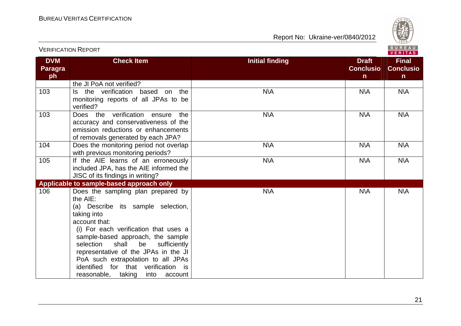

| <b>VERIFICATION REPORT</b>         |                                                                                                                                                                                                                                                                                                                                                                                                        |                        |                                                  | <b>BUREAU</b><br>VERITAS                         |
|------------------------------------|--------------------------------------------------------------------------------------------------------------------------------------------------------------------------------------------------------------------------------------------------------------------------------------------------------------------------------------------------------------------------------------------------------|------------------------|--------------------------------------------------|--------------------------------------------------|
| <b>DVM</b><br><b>Paragra</b><br>ph | <b>Check Item</b>                                                                                                                                                                                                                                                                                                                                                                                      | <b>Initial finding</b> | <b>Draft</b><br><b>Conclusio</b><br>$\mathsf{n}$ | <b>Final</b><br><b>Conclusio</b><br>$\mathsf{n}$ |
|                                    | the JI PoA not verified?                                                                                                                                                                                                                                                                                                                                                                               |                        |                                                  |                                                  |
| 103                                | Is the verification based on the<br>monitoring reports of all JPAs to be<br>verified?                                                                                                                                                                                                                                                                                                                  | N\A                    | N\A                                              | N\A                                              |
| 103                                | Does the verification ensure<br>the<br>accuracy and conservativeness of the<br>emission reductions or enhancements<br>of removals generated by each JPA?                                                                                                                                                                                                                                               | <b>N\A</b>             | <b>N\A</b>                                       | <b>N\A</b>                                       |
| 104                                | Does the monitoring period not overlap<br>with previous monitoring periods?                                                                                                                                                                                                                                                                                                                            | <b>N\A</b>             | <b>N\A</b>                                       | <b>N\A</b>                                       |
| 105                                | If the AIE learns of an erroneously<br>included JPA, has the AIE informed the<br>JISC of its findings in writing?                                                                                                                                                                                                                                                                                      | <b>N\A</b>             | <b>N\A</b>                                       | <b>N\A</b>                                       |
|                                    | Applicable to sample-based approach only                                                                                                                                                                                                                                                                                                                                                               |                        |                                                  |                                                  |
| 106                                | Does the sampling plan prepared by<br>the AIE:<br>(a) Describe its sample selection,<br>taking into<br>account that:<br>(i) For each verification that uses a<br>sample-based approach, the sample<br>shall<br>be<br>selection<br>sufficiently<br>representative of the JPAs in the JI<br>PoA such extrapolation to all JPAs<br>identified for that verification is<br>reasonable, taking into account | <b>N\A</b>             | <b>N\A</b>                                       | <b>N\A</b>                                       |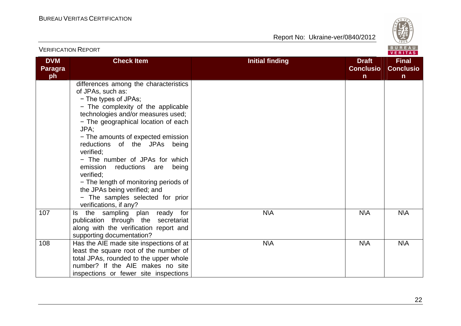

| <b>VERIFICATION REPORT</b>         |                                                                                                                                                                                                                                                                                                                                                                                                                                                                                                                               |                                                                            |                                       |
|------------------------------------|-------------------------------------------------------------------------------------------------------------------------------------------------------------------------------------------------------------------------------------------------------------------------------------------------------------------------------------------------------------------------------------------------------------------------------------------------------------------------------------------------------------------------------|----------------------------------------------------------------------------|---------------------------------------|
| <b>DVM</b><br><b>Paragra</b><br>ph | <b>Check Item</b>                                                                                                                                                                                                                                                                                                                                                                                                                                                                                                             | <b>Initial finding</b><br><b>Draft</b><br><b>Conclusio</b><br>$\mathsf{n}$ | <b>Final</b><br><b>Conclusio</b><br>n |
|                                    | differences among the characteristics<br>of JPAs, such as:<br>- The types of JPAs;<br>- The complexity of the applicable<br>technologies and/or measures used;<br>- The geographical location of each<br>JPA;<br>- The amounts of expected emission<br>reductions of the JPAs being<br>verified:<br>- The number of JPAs for which<br>emission<br>reductions are<br>being<br>verified:<br>- The length of monitoring periods of<br>the JPAs being verified; and<br>- The samples selected for prior<br>verifications, if any? |                                                                            |                                       |
| 107                                | the sampling plan ready for<br>ls.<br>publication through the secretariat<br>along with the verification report and<br>supporting documentation?                                                                                                                                                                                                                                                                                                                                                                              | <b>N\A</b><br><b>N\A</b>                                                   | <b>N\A</b>                            |
| 108                                | Has the AIE made site inspections of at<br>least the square root of the number of<br>total JPAs, rounded to the upper whole<br>number? If the AIE makes no site<br>inspections or fewer site inspections                                                                                                                                                                                                                                                                                                                      | <b>N\A</b><br><b>N\A</b>                                                   | <b>N\A</b>                            |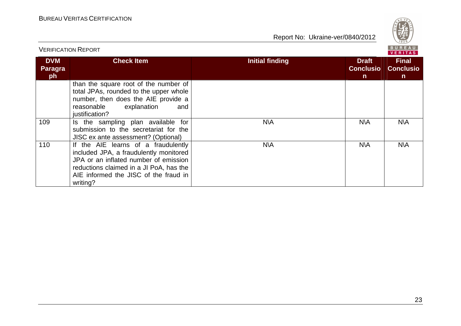

| <b>VERIFICATION REPORT</b>  |                                                                                                                                                                                                                        |                                                                            | BUREAU<br><b>VERITAS</b>                         |
|-----------------------------|------------------------------------------------------------------------------------------------------------------------------------------------------------------------------------------------------------------------|----------------------------------------------------------------------------|--------------------------------------------------|
| <b>DVM</b><br>Paragra<br>ph | <b>Check Item</b>                                                                                                                                                                                                      | <b>Initial finding</b><br><b>Draft</b><br><b>Conclusio</b><br>$\mathsf{n}$ | <b>Final</b><br><b>Conclusio</b><br>$\mathsf{n}$ |
|                             | than the square root of the number of<br>total JPAs, rounded to the upper whole<br>number, then does the AIE provide a<br>explanation<br>reasonable<br>and<br>justification?                                           |                                                                            |                                                  |
| 109                         | Is the sampling plan available for<br>submission to the secretariat for the<br>JISC ex ante assessment? (Optional)                                                                                                     | N\A<br>N\A                                                                 | N\A                                              |
| 110                         | If the AIE learns of a fraudulently<br>included JPA, a fraudulently monitored<br>JPA or an inflated number of emission<br>reductions claimed in a JI PoA, has the<br>AIE informed the JISC of the fraud in<br>writing? | N\A<br>N\A                                                                 | N\A                                              |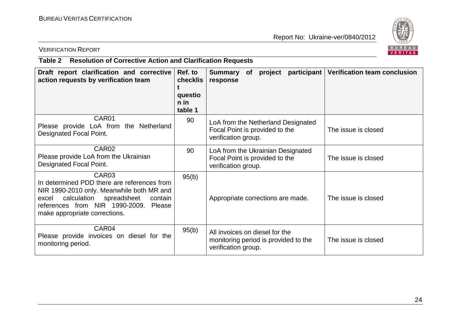

# VERIFICATION REPORT

# **Table 2 Resolution of Corrective Action and Clarification Requests**

| Draft report clarification and corrective<br>action requests by verification team                                                                                                                                                         | Ref. to<br>checklis<br>questio<br>$n$ in<br>table 1 | participant<br>project<br><b>Summary</b><br>of<br>response                                    | <b>Verification team conclusion</b> |
|-------------------------------------------------------------------------------------------------------------------------------------------------------------------------------------------------------------------------------------------|-----------------------------------------------------|-----------------------------------------------------------------------------------------------|-------------------------------------|
| CAR01<br>Please provide LoA from the Netherland<br>Designated Focal Point.                                                                                                                                                                | 90                                                  | LoA from the Netherland Designated<br>Focal Point is provided to the<br>verification group.   | The issue is closed                 |
| CAR <sub>02</sub><br>Please provide LoA from the Ukrainian<br>Designated Focal Point.                                                                                                                                                     | 90                                                  | LoA from the Ukrainian Designated<br>Focal Point is provided to the<br>verification group.    | The issue is closed                 |
| CAR <sub>03</sub><br>In determined PDD there are references from<br>NIR 1990-2010 only. Meanwhile both MR and<br>calculation<br>spreadsheet<br>contain<br>excel<br>references from NIR 1990-2009. Please<br>make appropriate corrections. | 95(b)                                               | Appropriate corrections are made.                                                             | The issue is closed                 |
| CAR04<br>Please provide invoices on diesel for the<br>monitoring period.                                                                                                                                                                  | 95(b)                                               | All invoices on diesel for the<br>monitoring period is provided to the<br>verification group. | The issue is closed                 |